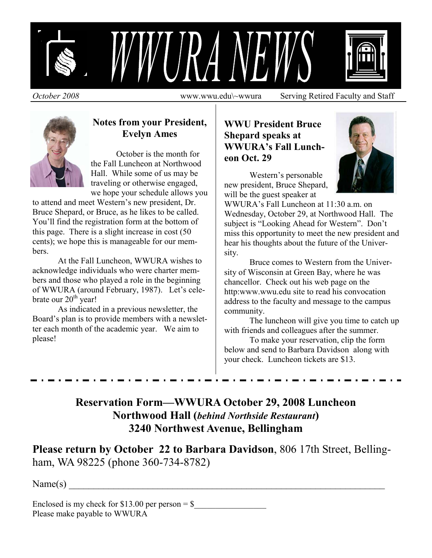

*October 2008* www.wwu.edu\~wwura Serving Retired Faculty and Staff



#### **Notes from your President, Evelyn Ames**

 October is the month for the Fall Luncheon at Northwood Hall. While some of us may be traveling or otherwise engaged, we hope your schedule allows you

to attend and meet Western's new president, Dr. Bruce Shepard, or Bruce, as he likes to be called. You'll find the registration form at the bottom of this page. There is a slight increase in cost (50 cents); we hope this is manageable for our members.

 At the Fall Luncheon, WWURA wishes to acknowledge individuals who were charter members and those who played a role in the beginning of WWURA (around February, 1987). Let's celebrate our  $20<sup>th</sup>$  year!

As indicated in a previous newsletter, the Board's plan is to provide members with a newsletter each month of the academic year. We aim to please!

### **WWU President Bruce Shepard speaks at WWURA's Fall Luncheon Oct. 29**



 Western's personable new president, Bruce Shepard, will be the guest speaker at

WWURA's Fall Luncheon at 11:30 a.m. on Wednesday, October 29, at Northwood Hall. The subject is "Looking Ahead for Western". Don't miss this opportunity to meet the new president and hear his thoughts about the future of the University.

 Bruce comes to Western from the University of Wisconsin at Green Bay, where he was chancellor. Check out his web page on the http:www.wwu.edu site to read his convocation address to the faculty and message to the campus community.

 The luncheon will give you time to catch up with friends and colleagues after the summer.

 To make your reservation, clip the form below and send to Barbara Davidson along with your check. Luncheon tickets are \$13.

**Reservation Form—WWURA October 29, 2008 Luncheon Northwood Hall (***behind Northside Restaurant***) 3240 Northwest Avenue, Bellingham** 

**Please return by October 22 to Barbara Davidson**, 806 17th Street, Bellingham, WA 98225 (phone 360-734-8782)

 $Name(s)$   $\qquad \qquad$ 

Enclosed is my check for \$13.00 per person =  $$$ Please make payable to WWURA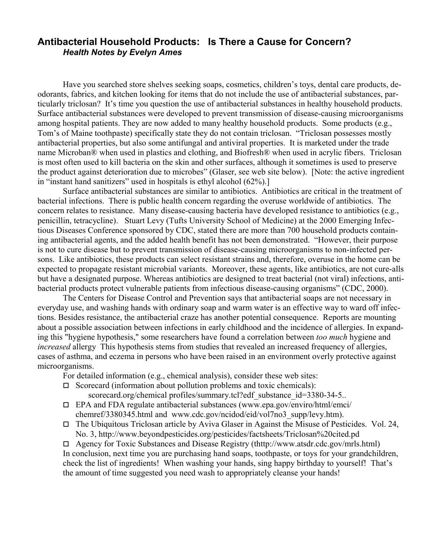#### **Antibacterial Household Products: Is There a Cause for Concern?**  *Health Notes by Evelyn Ames*

Have you searched store shelves seeking soaps, cosmetics, children's toys, dental care products, deodorants, fabrics, and kitchen looking for items that do not include the use of antibacterial substances, particularly triclosan? It's time you question the use of antibacterial substances in healthy household products. Surface antibacterial substances were developed to prevent transmission of disease-causing microorganisms among hospital patients. They are now added to many healthy household products. Some products (e.g., Tom's of Maine toothpaste) specifically state they do not contain triclosan. "Triclosan possesses mostly antibacterial properties, but also some antifungal and antiviral properties. It is marketed under the trade name Microban® when used in plastics and clothing, and Biofresh® when used in acrylic fibers. Triclosan is most often used to kill bacteria on the skin and other surfaces, although it sometimes is used to preserve the product against deterioration due to microbes" (Glaser, see web site below). [Note: the active ingredient in "instant hand sanitizers" used in hospitals is ethyl alcohol (62%).]

Surface antibacterial substances are similar to antibiotics. Antibiotics are critical in the treatment of bacterial infections. There is public health concern regarding the overuse worldwide of antibiotics. The concern relates to resistance. Many disease-causing bacteria have developed resistance to antibiotics (e.g., penicillin, tetracycline). Stuart Levy (Tufts University School of Medicine) at the 2000 Emerging Infectious Diseases Conference sponsored by CDC, stated there are more than 700 household products containing antibacterial agents, and the added health benefit has not been demonstrated. "However, their purpose is not to cure disease but to prevent transmission of disease-causing microorganisms to non-infected persons. Like antibiotics, these products can select resistant strains and, therefore, overuse in the home can be expected to propagate resistant microbial variants. Moreover, these agents, like antibiotics, are not cure-alls but have a designated purpose. Whereas antibiotics are designed to treat bacterial (not viral) infections, antibacterial products protect vulnerable patients from infectious disease-causing organisms" (CDC, 2000).

The Centers for Disease Control and Prevention says that antibacterial soaps are not necessary in everyday use, and washing hands with ordinary soap and warm water is an effective way to ward off infections. Besides resistance, the antibacterial craze has another potential consequence. Reports are mounting about a possible association between infections in early childhood and the incidence of allergies. In expanding this "hygiene hypothesis," some researchers have found a correlation between *too much* hygiene and *increased* allergy This hypothesis stems from studies that revealed an increased frequency of allergies, cases of asthma, and eczema in persons who have been raised in an environment overly protective against microorganisms.

For detailed information (e.g., chemical analysis), consider these web sites:

 $\Box$  Scorecard (information about pollution problems and toxic chemicals):

scorecard.org/chemical profiles/summary.tcl?edf\_substance\_id=3380-34-5..

- $\Box$  EPA and FDA regulate antibacterial substances (www.epa.gov/enviro/html/emci/ chemref/3380345.html and www.cdc.gov/ncidod/eid/vol7no3\_supp/levy.htm).
- $\Box$  The Ubiquitous Triclosan article by Aviva Glaser in Against the Misuse of Pesticides. Vol. 24, No. 3, http://www.beyondpesticides.org/pesticides/factsheets/Triclosan%20cited.pd

 Agency for Toxic Substances and Disease Registry (thttp://www.atsdr.cdc.gov/mrls.html) In conclusion, next time you are purchasing hand soaps, toothpaste, or toys for your grandchildren, check the list of ingredients! When washing your hands, sing happy birthday to yourself! That's the amount of time suggested you need wash to appropriately cleanse your hands!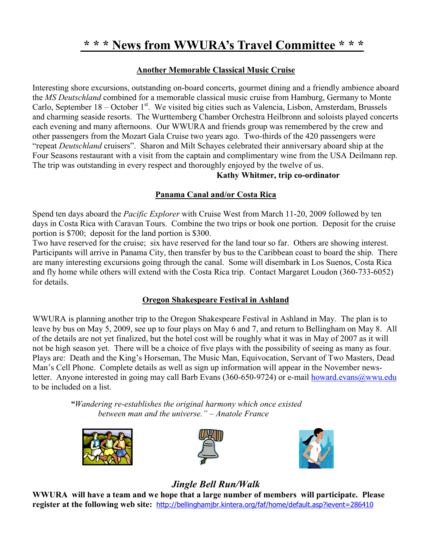## **\* \* \* News from WWURA's Travel Committee \* \* \***

#### **Another Memorable Classical Music Cruise**

Interesting shore excursions, outstanding on-board concerts, gourmet dining and a friendly ambience aboard the *MS Deutschland* combined for a memorable classical music cruise from Hamburg, Germany to Monte Carlo, September  $18 -$ October  $1<sup>st</sup>$ . We visited big cities such as Valencia, Lisbon, Amsterdam, Brussels and charming seaside resorts. The Wurttemberg Chamber Orchestra Heilbronn and soloists played concerts each evening and many afternoons. Our WWURA and friends group was remembered by the crew and other passengers from the Mozart Gala Cruise two years ago. Two-thirds of the 420 passengers were "repeat *Deutschland* cruisers". Sharon and Milt Schayes celebrated their anniversary aboard ship at the Four Seasons restaurant with a visit from the captain and complimentary wine from the USA Deilmann rep. The trip was outstanding in every respect and thoroughly enjoyed by the twelve of us.

#### **Kathy Whitmer, trip co-ordinator**

#### **Panama Canal and/or Costa Rica**

Spend ten days aboard the *Pacific Explorer* with Cruise West from March 11-20, 2009 followed by ten days in Costa Rica with Caravan Tours. Combine the two trips or book one portion. Deposit for the cruise portion is \$700; deposit for the land portion is \$300.

Two have reserved for the cruise; six have reserved for the land tour so far. Others are showing interest. Participants will arrive in Panama City, then transfer by bus to the Caribbean coast to board the ship. There are many interesting excursions going through the canal. Some will disembark in Los Suenos, Costa Rica and fly home while others will extend with the Costa Rica trip. Contact Margaret Loudon (360-733-6052) for details.

#### **Oregon Shakespeare Festival in Ashland**

WWURA is planning another trip to the Oregon Shakespeare Festival in Ashland in May. The plan is to leave by bus on May 5, 2009, see up to four plays on May 6 and 7, and return to Bellingham on May 8. All of the details are not yet finalized, but the hotel cost will be roughly what it was in May of 2007 as it will not be high season yet. There will be a choice of five plays with the possibility of seeing as many as four. Plays are: Death and the King's Horseman, The Music Man, Equivocation, Servant of Two Masters, Dead Man's Cell Phone. Complete details as well as sign up information will appear in the November newsletter. Anyone interested in going may call Barb Evans (360-650-9724) or e-mail howard.evans@wwu.edu to be included on a list.

> *"Wandering re-establishes the original harmony which once existed between man and the universe." – Anatole France*







#### *Jingle Bell Run/Walk*

**WWURA will have a team and we hope that a large number of members will participate. Please register at the following web site:** http://bellinghamjbr.kintera.org/faf/home/default.asp?ievent=286410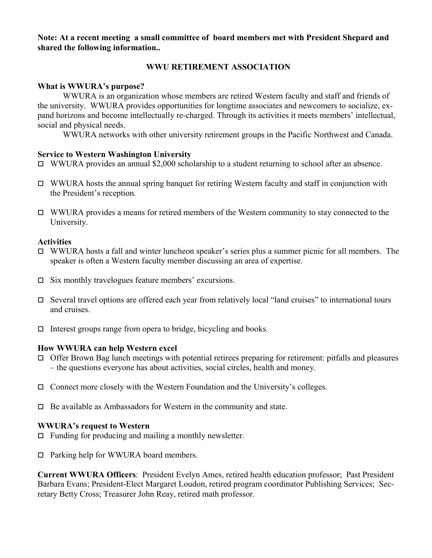**Note: At a recent meeting a small committee of board members met with President Shepard and shared the following information..** 

#### **WWU RETIREMENT ASSOCIATION**

#### **What is WWURA's purpose?**

 WWURA is an organization whose members are retired Western faculty and staff and friends of the university. WWURA provides opportunities for longtime associates and newcomers to socialize, expand horizons and become intellectually re-charged. Through its activities it meets members' intellectual, social and physical needs.

WWURA networks with other university retirement groups in the Pacific Northwest and Canada.

#### **Service to Western Washington University**

- $\Box$  WWURA provides an annual \$2,000 scholarship to a student returning to school after an absence.
- $\Box$  WWURA hosts the annual spring banquet for retiring Western faculty and staff in conjunction with the President's reception.
- $\Box$  WWURA provides a means for retired members of the Western community to stay connected to the University.

#### **Activities**

- $\Box$  WWURA hosts a fall and winter luncheon speaker's series plus a summer picnic for all members. The speaker is often a Western faculty member discussing an area of expertise.
- $\square$  Six monthly travelogues feature members' excursions.
- $\Box$  Several travel options are offered each year from relatively local "land cruises" to international tours and cruises.
- $\Box$  Interest groups range from opera to bridge, bicycling and books.

#### **How WWURA can help Western excel**

- $\Box$  Offer Brown Bag lunch meetings with potential retirees preparing for retirement: pitfalls and pleasures – the questions everyone has about activities, social circles, health and money.
- $\Box$  Connect more closely with the Western Foundation and the University's colleges.
- $\Box$  Be available as Ambassadors for Western in the community and state.

#### **WWURA's request to Western**

- $\Box$  Funding for producing and mailing a monthly newsletter.
- □ Parking help for WWURA board members.

**Current WWURA Officers**: President Evelyn Ames, retired health education professor; Past President Barbara Evans; President-Elect Margaret Loudon, retired program coordinator Publishing Services; Secretary Betty Cross; Treasurer John Reay, retired math professor.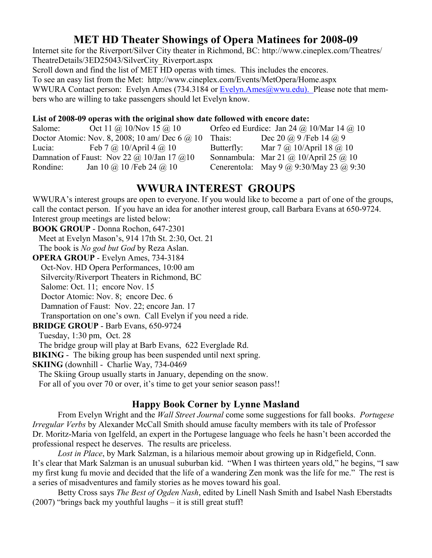## **MET HD Theater Showings of Opera Matinees for 2008-09**

Internet site for the Riverport/Silver City theater in Richmond, BC: http://www.cineplex.com/Theatres/ TheatreDetails/3ED25043/SilverCity\_Riverport.aspx

Scroll down and find the list of MET HD operas with times. This includes the encores.

To see an easy list from the Met: http://www.cineplex.com/Events/MetOpera/Home.aspx

WWURA Contact person: Evelyn Ames (734.3184 or Evelyn.Ames@wwu.edu). Please note that members who are willing to take passengers should let Evelyn know.

#### **List of 2008-09 operas with the original show date followed with encore date:**

| Salome:                                     | Oct 11 @ 10/Nov 15 @ 10                        |            | Orfeo ed Eurdice: Jan 24 @ 10/Mar 14 @ 10 |
|---------------------------------------------|------------------------------------------------|------------|-------------------------------------------|
|                                             | Doctor Atomic: Nov. 8, 2008; 10 am/ Dec 6 @ 10 | Thais:     | Dec 20 @ 9 / Feb 14 @ 9                   |
| Lucia:                                      | Feb 7 $\omega$ 10/April 4 $\omega$ 10          | Butterfly: | Mar $7 @ 10/April 18 @ 10$                |
| Damnation of Faust: Nov 22 @ 10/Jan 17 @ 10 |                                                |            | Sonnambula: Mar 21 @ 10/April 25 @ 10     |
| Rondine:                                    | Jan 10 @ 10 / Feb 24 @ 10                      |            | Cenerentola: May 9 @ 9:30/May 23 @ 9:30   |

## **WWURA INTEREST GROUPS**

WWURA's interest groups are open to everyone. If you would like to become a part of one of the groups, call the contact person. If you have an idea for another interest group, call Barbara Evans at 650-9724. Interest group meetings are listed below:

**BOOK GROUP** - Donna Rochon, 647-2301 Meet at Evelyn Mason's, 914 17th St. 2:30, Oct. 21 The book is *No god but God* by Reza Aslan. **OPERA GROUP** - Evelyn Ames, 734-3184 Oct-Nov. HD Opera Performances, 10:00 am Silvercity/Riverport Theaters in Richmond, BC Salome: Oct. 11; encore Nov. 15 Doctor Atomic: Nov. 8; encore Dec. 6 Damnation of Faust: Nov. 22; encore Jan. 17 Transportation on one's own. Call Evelyn if you need a ride. **BRIDGE GROUP** - Barb Evans, 650-9724 Tuesday, 1:30 pm, Oct. 28 The bridge group will play at Barb Evans, 622 Everglade Rd. **BIKING** - The biking group has been suspended until next spring. **SKIING** (downhill - Charlie Way, 734-0469 The Skiing Group usually starts in January, depending on the snow. For all of you over 70 or over, it's time to get your senior season pass!!

## **Happy Book Corner by Lynne Masland**

 From Evelyn Wright and the *Wall Street Journal* come some suggestions for fall books. *Portugese Irregular Verbs* by Alexander McCall Smith should amuse faculty members with its tale of Professor Dr. Moritz-Maria von Igelfeld, an expert in the Portugese language who feels he hasn't been accorded the professional respect he deserves. The results are priceless.

*Lost in Place*, by Mark Salzman, is a hilarious memoir about growing up in Ridgefield, Conn. It's clear that Mark Salzman is an unusual suburban kid. "When I was thirteen years old," he begins, "I saw my first kung fu movie and decided that the life of a wandering Zen monk was the life for me." The rest is a series of misadventures and family stories as he moves toward his goal.

 Betty Cross says *The Best of Ogden Nash*, edited by Linell Nash Smith and Isabel Nash Eberstadts (2007) "brings back my youthful laughs – it is still great stuff!